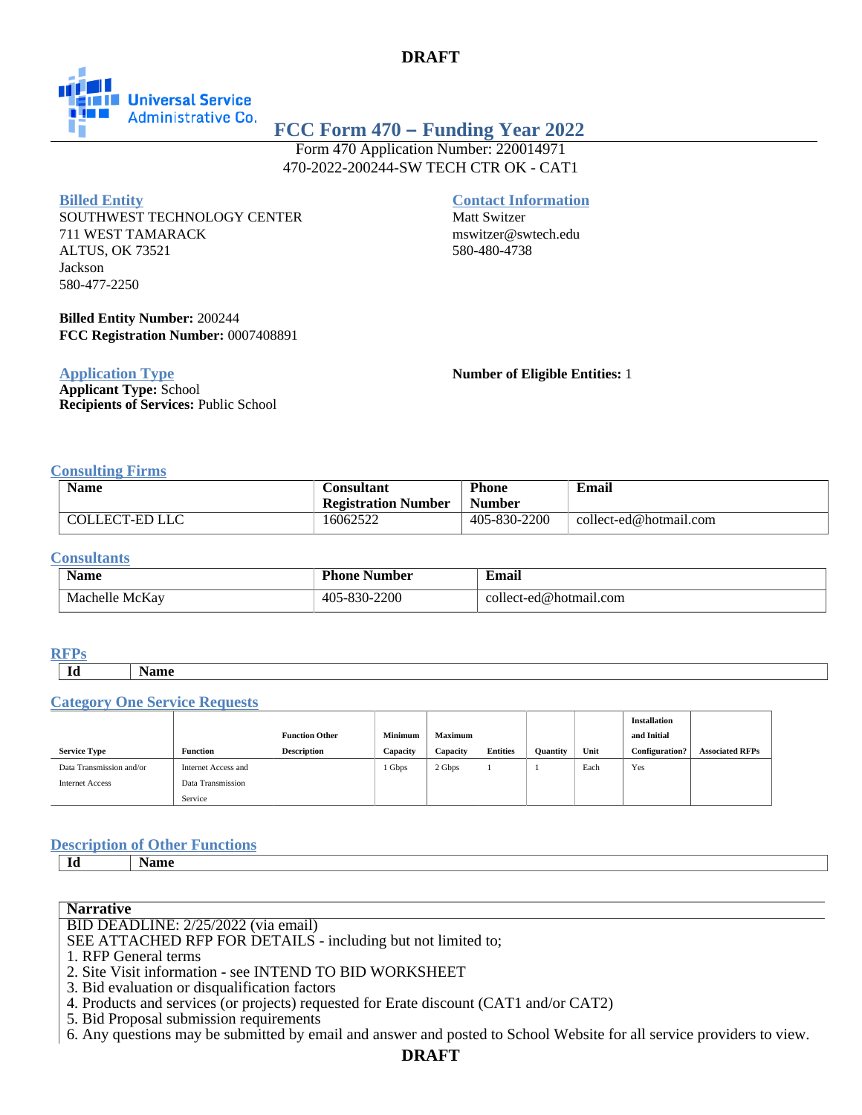# **DRAFT**



# **FCC Form 470 – Funding Year 2022**

Form 470 Application Number: 220014971 470-2022-200244-SW TECH CTR OK - CAT1

### **Billed Entity**

SOUTHWEST TECHNOLOGY CENTER 711 WEST TAMARACK ALTUS, OK 73521 Jackson 580-477-2250

## **Contact Information**

Matt Switzer mswitzer@swtech.edu 580-480-4738

**Billed Entity Number:** 200244 **FCC Registration Number:** 0007408891

**Application Type**

**Applicant Type:** School **Recipients of Services:** Public School **Number of Eligible Entities:** 1

### **Consulting Firms**

| <b>Name</b>    | Consultant                 | <b>Phone</b>  | Email                  |
|----------------|----------------------------|---------------|------------------------|
|                | <b>Registration Number</b> | <b>Number</b> |                        |
| COLLECT-ED LLC | 16062522                   | 405-830-2200  | collect-ed@hotmail.com |

#### **Consultants**

| <b>Name</b>       | Phone<br>Number                       | ∙'mail<br>$\sim$ $\sim$         |
|-------------------|---------------------------------------|---------------------------------|
| McKay<br>Machelle | -2200<br>ີດ ດ<br>-40.<br>3U-.<br>$-1$ | collect.<br>-ed@hotmail<br>.com |

#### **RFPs**

**Id Name**

#### **Category One Service Requests**

|                          |                     |                       |                |                |                 |                 |      | <b>Installation</b> |                        |
|--------------------------|---------------------|-----------------------|----------------|----------------|-----------------|-----------------|------|---------------------|------------------------|
|                          |                     | <b>Function Other</b> | <b>Minimum</b> | <b>Maximum</b> |                 |                 |      | and Initial         |                        |
| <b>Service Type</b>      | Function            | <b>Description</b>    | Capacity       | Capacity       | <b>Entities</b> | <b>Quantity</b> | Unit | Configuration?      | <b>Associated RFPs</b> |
| Data Transmission and/or | Internet Access and |                       | 1 Gbps         | 2 Gbps         |                 |                 | Each | Yes                 |                        |
| <b>Internet Access</b>   | Data Transmission   |                       |                |                |                 |                 |      |                     |                        |
|                          | Service             |                       |                |                |                 |                 |      |                     |                        |

### **Description of Other Functions**

**Id Name**

### **Narrative**

BID DEADLINE: 2/25/2022 (via email)

SEE ATTACHED RFP FOR DETAILS - including but not limited to;

- 1. RFP General terms
- 2. Site Visit information see INTEND TO BID WORKSHEET
- 3. Bid evaluation or disqualification factors
- 4. Products and services (or projects) requested for Erate discount (CAT1 and/or CAT2)

5. Bid Proposal submission requirements

6. Any questions may be submitted by email and answer and posted to School Website for all service providers to view.

# **DRAFT**